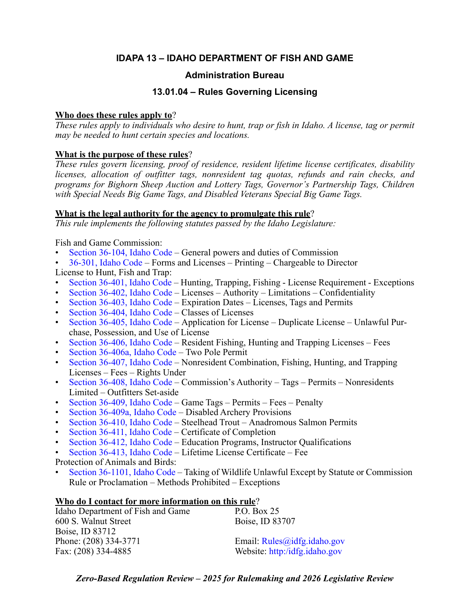# **IDAPA 13 – IDAHO DEPARTMENT OF FISH AND GAME**

# **Administration Bureau**

# **13.01.04 – Rules Governing Licensing**

# **Who does these rules apply to**?

*These rules apply to individuals who desire to hunt, trap or fish in Idaho. A license, tag or permit may be needed to hunt certain species and locations.* 

# **What is the purpose of these rules**?

*These rules govern licensing, proof of residence, resident lifetime license certificates, disability licenses, allocation of outfitter tags, nonresident tag quotas, refunds and rain checks, and programs for Bighorn Sheep Auction and Lottery Tags, Governor's Partnership Tags, Children with Special Needs Big Game Tags, and Disabled Veterans Special Big Game Tags.*

# **What is the legal authority for the agency to promulgate this rule**?

*This rule implements the following statutes passed by the Idaho Legislature:*

Fish and Game Commission:

- [Section 36-104, Idaho Code –](https://legislature.idaho.gov/statutesrules/idstat/Title36/T36CH1/SECT36-104/) General powers and duties of Commission
- 36-301, Idaho Code Forms and Licenses Printing Chargeable to Director

License to Hunt, Fish and Trap:

- [Section 36-401, Idaho Code –](https://legislature.idaho.gov/statutesrules/idstat/Title36/T36CH4/SECT36-401/) Hunting, Trapping, Fishing License Requirement Exceptions
- [Section 36-402, Idaho Code –](https://legislature.idaho.gov/statutesrules/idstat/Title36/T36CH4/SECT36-402/) Licenses Authority Limitations Confidentiality
- [Section 36-403, Idaho Code –](https://legislature.idaho.gov/statutesrules/idstat/Title36/T36CH4/SECT36-403/) Expiration Dates Licenses, Tags and Permits
- [Section 36-404, Idaho Code](https://legislature.idaho.gov/statutesrules/idstat/Title36/T36CH4/SECT36-404/)  Classes of Licenses
- [Section 36-405, Idaho Code –](https://legislature.idaho.gov/statutesrules/idstat/Title36/T36CH4/SECT36-405/) Application for License Duplicate License Unlawful Purchase, Possession, and Use of License
- [Section 36-406, Idaho Code –](https://legislature.idaho.gov/statutesrules/idstat/Title36/T36CH4/SECT36-406/) Resident Fishing, Hunting and Trapping Licenses Fees
- [Section 36-406a, Idaho Code –](https://legislature.idaho.gov/statutesrules/idstat/Title36/T36CH4/SECT36-406A/) Two Pole Permit
- [Section 36-407, Idaho Code –](https://legislature.idaho.gov/statutesrules/idstat/Title36/T36CH4/SECT36-407/) Nonresident Combination, Fishing, Hunting, and Trapping Licenses – Fees – Rights Under
- [Section 36-408, Idaho Code –](https://legislature.idaho.gov/statutesrules/idstat/Title36/T36CH4/SECT36-408/) Commission's Authority Tags Permits Nonresidents Limited – Outfitters Set-aside
- [Section 36-409, Idaho Code –](https://legislature.idaho.gov/statutesrules/idstat/Title36/T36CH4/SECT36-409/) Game Tags Permits Fees Penalty
- [Section 36-409a, Idaho Code –](https://legislature.idaho.gov/statutesrules/idstat/Title36/T36CH4/SECT36-409A/) Disabled Archery Provisions
- [Section 36-410, Idaho Code –](https://legislature.idaho.gov/statutesrules/idstat/Title36/T36CH4/SECT36-410/) Steelhead Trout Anadromous Salmon Permits
- [Section 36-411, Idaho Code](https://legislature.idaho.gov/statutesrules/idstat/Title36/T36CH4/SECT36-411/)  Certificate of Completion
- [Section 36-412, Idaho Code –](https://legislature.idaho.gov/statutesrules/idstat/Title36/T36CH4/SECT36-412/) Education Programs, Instructor Qualifications
- [Section 36-413, Idaho Code –](https://legislature.idaho.gov/statutesrules/idstat/Title36/T36CH4/SECT36-413/) Lifetime License Certificate Fee

Protection of Animals and Birds:

• [Section 36-1101, Idaho Code](https://legislature.idaho.gov/statutesrules/idstat/Title36/T36CH11/SECT36-1101/) – Taking of Wildlife Unlawful Except by Statute or Commission Rule or Proclamation – Methods Prohibited – Exceptions

# **Who do I contact for more information on this rule**?

| Idaho Department of Fish and Game | P.O. Box $25$                 |
|-----------------------------------|-------------------------------|
| 600 S. Walnut Street              | Boise, ID 83707               |
| Boise, ID 83712                   |                               |
| Phone: (208) 334-3771             | Email: $Rules@idfg.idaho.gov$ |
| Fax: (208) 334-4885               | Website: http:/idfg.idaho.gov |
|                                   |                               |

*Zero-Based Regulation Review – 2025 for Rulemaking and 2026 Legislative Review*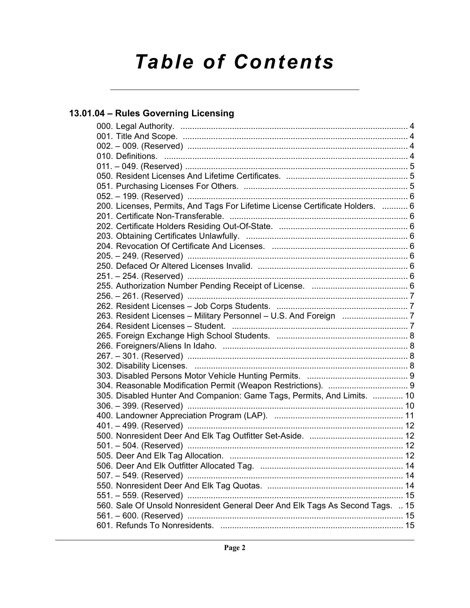# **Table of Contents**

# 13.01.04 - Rules Governing Licensing

| 200. Licenses, Permits, And Tags For Lifetime License Certificate Holders.  6 |  |
|-------------------------------------------------------------------------------|--|
|                                                                               |  |
|                                                                               |  |
|                                                                               |  |
|                                                                               |  |
|                                                                               |  |
|                                                                               |  |
|                                                                               |  |
|                                                                               |  |
|                                                                               |  |
|                                                                               |  |
|                                                                               |  |
|                                                                               |  |
|                                                                               |  |
|                                                                               |  |
|                                                                               |  |
|                                                                               |  |
|                                                                               |  |
|                                                                               |  |
| 305. Disabled Hunter And Companion: Game Tags, Permits, And Limits.  10       |  |
|                                                                               |  |
|                                                                               |  |
| 401. – 499. (Reserved) …………………………………………………………………………… 12                       |  |
|                                                                               |  |
|                                                                               |  |
|                                                                               |  |
|                                                                               |  |
|                                                                               |  |
|                                                                               |  |
|                                                                               |  |
| 560. Sale Of Unsold Nonresident General Deer And Elk Tags As Second Tags.  15 |  |
|                                                                               |  |
|                                                                               |  |
|                                                                               |  |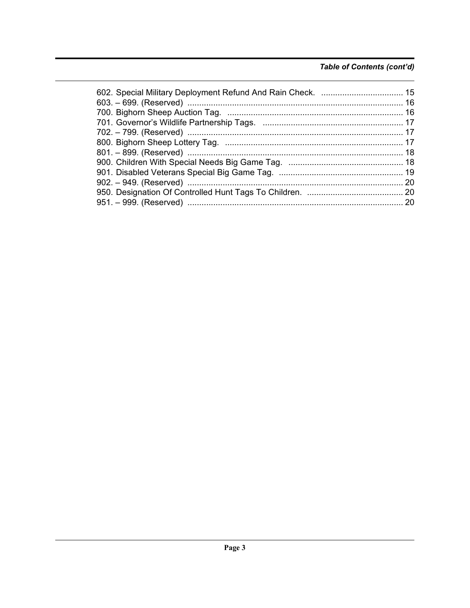# Table of Contents (cont'd)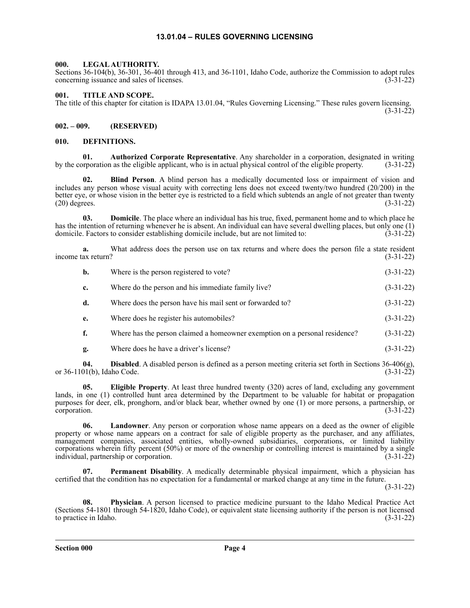# **13.01.04 – RULES GOVERNING LICENSING**

# <span id="page-3-1"></span><span id="page-3-0"></span>**000. LEGAL AUTHORITY.**

Sections 36-104(b), 36-301, 36-401 through 413, and 36-1101, Idaho Code, authorize the Commission to adopt rules concerning issuance and sales of licenses. (3-31-22)

# <span id="page-3-2"></span>**001. TITLE AND SCOPE.**

The title of this chapter for citation is IDAPA 13.01.04, "Rules Governing Licensing." These rules govern licensing. (3-31-22)

# <span id="page-3-3"></span>**002. – 009. (RESERVED)**

## <span id="page-3-4"></span>**010. DEFINITIONS.**

**01. Authorized Corporate Representative**. Any shareholder in a corporation, designated in writing by the corporation as the eligible applicant, who is in actual physical control of the eligible property.

**02. Blind Person**. A blind person has a medically documented loss or impairment of vision and includes any person whose visual acuity with correcting lens does not exceed twenty/two hundred (20/200) in the better eye, or whose vision in the better eye is restricted to a field which subtends an angle of not greater than twenty (20) degrees. (3-31-22)  $(20)$  degrees.

**03. Domicile**. The place where an individual has his true, fixed, permanent home and to which place he has the intention of returning whenever he is absent. An individual can have several dwelling places, but only one (1) domicile. Factors to consider establishing domicile include, but are not limited to: (3-31-22)

**a.** What address does the person use on tax returns and where does the person file a state resident ax return? (3-31-22) income tax return?

| b. | Where is the person registered to vote?                                     | $(3-31-22)$ |
|----|-----------------------------------------------------------------------------|-------------|
| c. | Where do the person and his immediate family live?                          | $(3-31-22)$ |
| d. | Where does the person have his mail sent or forwarded to?                   | $(3-31-22)$ |
| e. | Where does he register his automobiles?                                     | $(3-31-22)$ |
|    | Where has the person claimed a homeowner exemption on a personal residence? | $(3-31-22)$ |

**g.** Where does he have a driver's license? (3-31-22)

**04. Disabled**. A disabled person is defined as a person meeting criteria set forth in Sections 36-406(g), 01(b), Idaho Code. (3-31-22) or 36-1101(b), Idaho Code.

**05. Eligible Property**. At least three hundred twenty (320) acres of land, excluding any government lands, in one (1) controlled hunt area determined by the Department to be valuable for habitat or propagation purposes for deer, elk, pronghorn, and/or black bear, whether owned by one (1) or more persons, a partnership, or corporation. (3-31-22) corporation.  $(3-31-22)$ 

**06. Landowner**. Any person or corporation whose name appears on a deed as the owner of eligible property or whose name appears on a contract for sale of eligible property as the purchaser, and any affiliates, management companies, associated entities, wholly-owned subsidiaries, corporations, or limited liability corporations wherein fifty percent (50%) or more of the ownership or controlling interest is maintained by a single individual, partnership or corporation. (3-31-22) individual, partnership or corporation.

**07. Permanent Disability**. A medically determinable physical impairment, which a physician has certified that the condition has no expectation for a fundamental or marked change at any time in the future.

(3-31-22)

**08. Physician**. A person licensed to practice medicine pursuant to the Idaho Medical Practice Act (Sections 54-1801 through 54-1820, Idaho Code), or equivalent state licensing authority if the person is not licensed to practice in Idaho. (3-31-22)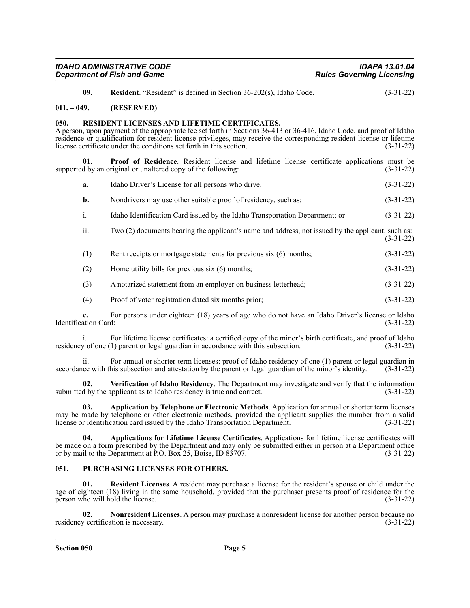| <b>IDAHO ADMINISTRATIVE CODE</b>   | <b>IDAPA 13.01.04</b>            |
|------------------------------------|----------------------------------|
| <b>Department of Fish and Game</b> | <b>Rules Governing Licensing</b> |

**09. Resident**. "Resident" is defined in Section 36-202(s), Idaho Code. (3-31-22)

### <span id="page-4-0"></span>**011. – 049. (RESERVED)**

#### <span id="page-4-1"></span>**050. RESIDENT LICENSES AND LIFETIME CERTIFICATES.**

A person, upon payment of the appropriate fee set forth in Sections 36-413 or 36-416, Idaho Code, and proof of Idaho residence or qualification for resident license privileges, may receive the corresponding resident license or lifetime license certificate under the conditions set forth in this section. (3-31-22)

**01. Proof of Residence**. Resident license and lifetime license certificate applications must be supported by an original or unaltered copy of the following: (3-31-22)

| a.  | Idaho Driver's License for all persons who drive.                                                 | $(3-31-22)$ |
|-----|---------------------------------------------------------------------------------------------------|-------------|
| b.  | Nondrivers may use other suitable proof of residency, such as:                                    | $(3-31-22)$ |
| i.  | Idaho Identification Card issued by the Idaho Transportation Department; or                       | $(3-31-22)$ |
| ii. | Two (2) documents bearing the applicant's name and address, not issued by the applicant, such as: | $(3-31-22)$ |
| (1) | Rent receipts or mortgage statements for previous six (6) months;                                 | $(3-31-22)$ |
| (2) | Home utility bills for previous $s$ ix $(6)$ months;                                              | $(3-31-22)$ |
| (3) | A notarized statement from an employer on business letterhead;                                    | $(3-31-22)$ |
| (4) | Proof of voter registration dated six months prior;                                               | $(3-31-22)$ |

For persons under eighteen (18) years of age who do not have an Idaho Driver's license or Idaho d: (3-31-22) Identification Card:

i. For lifetime license certificates: a certified copy of the minor's birth certificate, and proof of Idaho residency of one (1) parent or legal guardian in accordance with this subsection. (3-31-22)

ii. For annual or shorter-term licenses: proof of Idaho residency of one (1) parent or legal guardian in accordance with this subsection and attestation by the parent or legal guardian of the minor's identity. (3-31-22)

**02.** Verification of Idaho Residency. The Department may investigate and verify that the information d by the applicant as to Idaho residency is true and correct. (3-31-22) submitted by the applicant as to Idaho residency is true and correct.

**03. Application by Telephone or Electronic Methods**. Application for annual or shorter term licenses may be made by telephone or other electronic methods, provided the applicant supplies the number from a valid license or identification card issued by the Idaho Transportation Department. (3-31-22)

**04. Applications for Lifetime License Certificates**. Applications for lifetime license certificates will be made on a form prescribed by the Department and may only be submitted either in person at a Department office or by mail to the Department at P.O. Box 25, Boise, ID 83707. (3-31-22)

# <span id="page-4-2"></span>**051. PURCHASING LICENSES FOR OTHERS.**

**01. Resident Licenses**. A resident may purchase a license for the resident's spouse or child under the age of eighteen (18) living in the same household, provided that the purchaser presents proof of residence for the person who will hold the license. (3-31-22)

**02. Nonresident Licenses**. A person may purchase a nonresident license for another person because no residency certification is necessary. (3-31-22)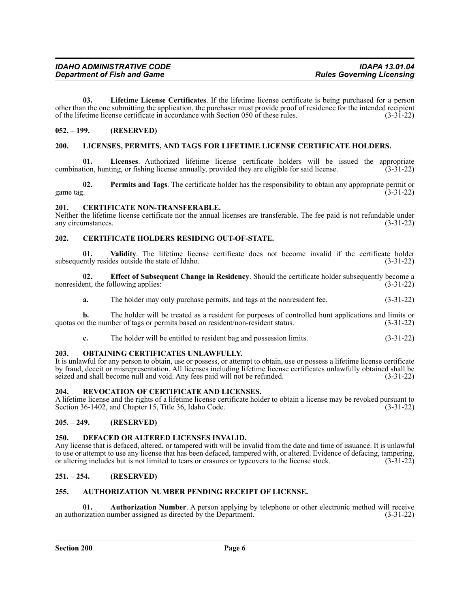**03. Lifetime License Certificates**. If the lifetime license certificate is being purchased for a person other than the one submitting the application, the purchaser must provide proof of residence for the intended recipient of the lifetime license certificate in accordance with Section 050 of these rules. (3-31-22) of the lifetime license certificate in accordance with Section 050 of these rules.

# <span id="page-5-0"></span>**052. – 199. (RESERVED)**

### <span id="page-5-1"></span>**200. LICENSES, PERMITS, AND TAGS FOR LIFETIME LICENSE CERTIFICATE HOLDERS.**

**01.** Licenses. Authorized lifetime license certificate holders will be issued the appropriate tion, hunting, or fishing license annually, provided they are eligible for said license. (3-31-22) combination, hunting, or fishing license annually, provided they are eligible for said license.

**02. Permits and Tags**. The certificate holder has the responsibility to obtain any appropriate permit or game tag.  $(3-31-22)$ 

#### <span id="page-5-2"></span>**201. CERTIFICATE NON-TRANSFERABLE.**

Neither the lifetime license certificate nor the annual licenses are transferable. The fee paid is not refundable under any circumstances. (3-31-22)

### <span id="page-5-3"></span>**202. CERTIFICATE HOLDERS RESIDING OUT-OF-STATE.**

**01.** Validity. The lifetime license certificate does not become invalid if the certificate holder ently resides outside the state of Idaho. (3-31-22) subsequently resides outside the state of Idaho.

**02. Effect of Subsequent Change in Residency**. Should the certificate holder subsequently become a ent, the following applies: (3-31-22) nonresident, the following applies:

**a.** The holder may only purchase permits, and tags at the nonresident fee.  $(3-31-22)$ 

**b.** The holder will be treated as a resident for purposes of controlled hunt applications and limits or quotas on the number of tags or permits based on resident/non-resident status. (3-31-22)

**c.** The holder will be entitled to resident bag and possession limits. (3-31-22)

#### <span id="page-5-4"></span>**203. OBTAINING CERTIFICATES UNLAWFULLY.**

It is unlawful for any person to obtain, use or possess, or attempt to obtain, use or possess a lifetime license certificate by fraud, deceit or misrepresentation. All licenses including lifetime license certificates unlawfully obtained shall be seized and shall become null and void. Any fees paid will not be refunded. (3-31-22)

#### <span id="page-5-5"></span>**204. REVOCATION OF CERTIFICATE AND LICENSES.**

A lifetime license and the rights of a lifetime license certificate holder to obtain a license may be revoked pursuant to Section 36-1402, and Chapter 15, Title 36, Idaho Code. (3-31-22)

# <span id="page-5-6"></span>**205. – 249. (RESERVED)**

#### <span id="page-5-7"></span>**250. DEFACED OR ALTERED LICENSES INVALID.**

Any license that is defaced, altered, or tampered with will be invalid from the date and time of issuance. It is unlawful to use or attempt to use any license that has been defaced, tampered with, or altered. Evidence of defacing, tampering, or altering includes but is not limited to tears or erasures or typeovers to the license stock. (3-31-22)

# <span id="page-5-8"></span>**251. – 254. (RESERVED)**

## <span id="page-5-9"></span>**255. AUTHORIZATION NUMBER PENDING RECEIPT OF LICENSE.**

**01. Authorization Number**. A person applying by telephone or other electronic method will receive rization number assigned as directed by the Department. (3-31-22) an authorization number assigned as directed by the Department.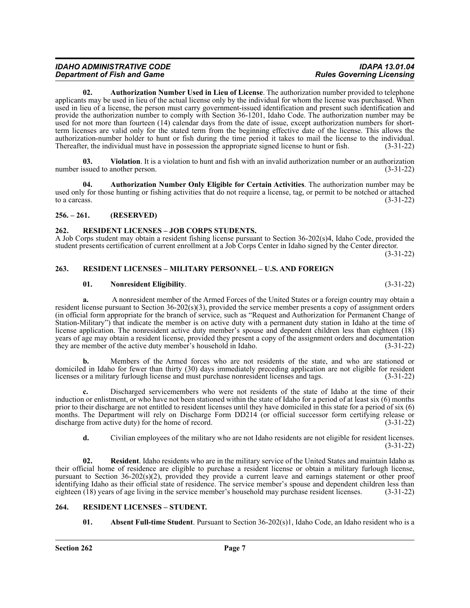**02. Authorization Number Used in Lieu of License**. The authorization number provided to telephone applicants may be used in lieu of the actual license only by the individual for whom the license was purchased. When used in lieu of a license, the person must carry government-issued identification and present such identification and provide the authorization number to comply with Section 36-1201, Idaho Code. The authorization number may be used for not more than fourteen (14) calendar days from the date of issue, except authorization numbers for shortterm licenses are valid only for the stated term from the beginning effective date of the license. This allows the authorization-number holder to hunt or fish during the time period it takes to mail the license to the individual. Thereafter, the individual must have in possession the appropriate signed license to hunt or fish. (3-31-22)

**03. Violation**. It is a violation to hunt and fish with an invalid authorization number or an authorization number issued to another person. (3-31-22)

**04. Authorization Number Only Eligible for Certain Activities**. The authorization number may be used only for those hunting or fishing activities that do not require a license, tag, or permit to be notched or attached to a carcass.  $(3-31-22)$ 

# <span id="page-6-0"></span>**256. – 261. (RESERVED)**

### <span id="page-6-1"></span>**262. RESIDENT LICENSES – JOB CORPS STUDENTS.**

A Job Corps student may obtain a resident fishing license pursuant to Section 36-202(s)4, Idaho Code, provided the student presents certification of current enrollment at a Job Corps Center in Idaho signed by the Center director.

(3-31-22)

#### <span id="page-6-2"></span>**263. RESIDENT LICENSES – MILITARY PERSONNEL – U.S. AND FOREIGN**

### **01. Nonresident Eligibility**. (3-31-22)

**a.** A nonresident member of the Armed Forces of the United States or a foreign country may obtain a resident license pursuant to Section 36-202(s)(3), provided the service member presents a copy of assignment orders (in official form appropriate for the branch of service, such as "Request and Authorization for Permanent Change of Station-Military") that indicate the member is on active duty with a permanent duty station in Idaho at the time of license application. The nonresident active duty member's spouse and dependent children less than eighteen (18) years of age may obtain a resident license, provided they present a copy of the assignment orders and documentation they are member of the active duty member's household in Idaho. (3-31-22)

**b.** Members of the Armed forces who are not residents of the state, and who are stationed or domiciled in Idaho for fewer than thirty (30) days immediately preceding application are not eligible for resident licenses or a military furlough license and must purchase nonresident licenses and tags. (3-31-22)

**c.** Discharged servicemembers who were not residents of the state of Idaho at the time of their induction or enlistment, or who have not been stationed within the state of Idaho for a period of at least six (6) months prior to their discharge are not entitled to resident licenses until they have domiciled in this state for a period of six (6) months. The Department will rely on Discharge Form DD214 (or official successor form certifying release or discharge from active duty) for the home of record. (3-31-22) discharge from active duty) for the home of record.

**d.** Civilian employees of the military who are not Idaho residents are not eligible for resident licenses. (3-31-22)

**02. Resident**. Idaho residents who are in the military service of the United States and maintain Idaho as their official home of residence are eligible to purchase a resident license or obtain a military furlough license, pursuant to Section 36-202(s)(2), provided they provide a current leave and earnings statement or other proof identifying Idaho as their official state of residence. The service member's spouse and dependent children less than eighteen (18) years of age living in the service member's household may purchase resident licenses. (3-31-22)

# <span id="page-6-3"></span>**264. RESIDENT LICENSES – STUDENT.**

**01.** Absent Full-time Student. Pursuant to Section 36-202(s)1, Idaho Code, an Idaho resident who is a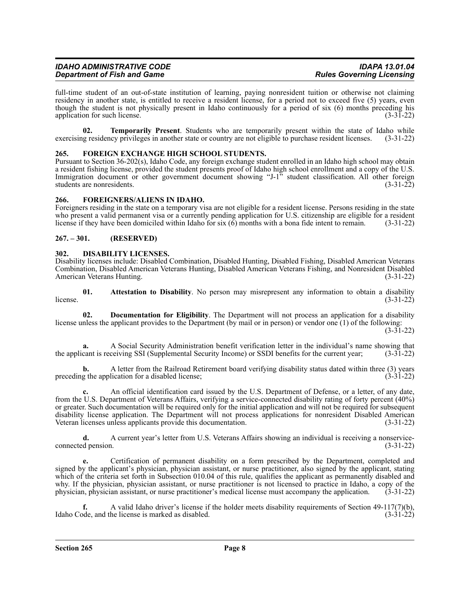full-time student of an out-of-state institution of learning, paying nonresident tuition or otherwise not claiming residency in another state, is entitled to receive a resident license, for a period not to exceed five (5) years, even though the student is not physically present in Idaho continuously for a period of six (6) months preceding his application for such license. (3-31-22) application for such license.

**02. Temporarily Present**. Students who are temporarily present within the state of Idaho while g residency privileges in another state or country are not eligible to purchase resident licenses. (3-31-22) exercising residency privileges in another state or country are not eligible to purchase resident licenses.

# <span id="page-7-0"></span>**265. FOREIGN EXCHANGE HIGH SCHOOL STUDENTS.**

Pursuant to Section 36-202(s), Idaho Code, any foreign exchange student enrolled in an Idaho high school may obtain a resident fishing license, provided the student presents proof of Idaho high school enrollment and a copy of the U.S. Immigration document or other government document showing "J-1" student classification. All other foreign students are nonresidents. (3-31-22) students are nonresidents.

### <span id="page-7-1"></span>**266. FOREIGNERS/ALIENS IN IDAHO.**

Foreigners residing in the state on a temporary visa are not eligible for a resident license. Persons residing in the state who present a valid permanent visa or a currently pending application for U.S. citizenship are eligible for a resident license if they have been domiciled within Idaho for six  $(6)$  months with a bona fide intent to remain.  $(3-31-22)$ 

# <span id="page-7-2"></span>**267. – 301. (RESERVED)**

#### <span id="page-7-3"></span>**302. DISABILITY LICENSES.**

Disability licenses include: Disabled Combination, Disabled Hunting, Disabled Fishing, Disabled American Veterans Combination, Disabled American Veterans Hunting, Disabled American Veterans Fishing, and Nonresident Disabled American Veterans Hunting. (3-31-22)

**01. Attestation to Disability**. No person may misrepresent any information to obtain a disability (3-31-22) license.  $(3-31-22)$ 

**02. Documentation for Eligibility**. The Department will not process an application for a disability license unless the applicant provides to the Department (by mail or in person) or vendor one (1) of the following:  $(3-31-22)$ 

**a.** A Social Security Administration benefit verification letter in the individual's name showing that cant is receiving SSI (Supplemental Security Income) or SSDI benefits for the current year; (3-31-22) the applicant is receiving SSI (Supplemental Security Income) or SSDI benefits for the current year;

**b.** A letter from the Railroad Retirement board verifying disability status dated within three (3) years preceding the application for a disabled license;  $(3-31-22)$ 

**c.** An official identification card issued by the U.S. Department of Defense, or a letter, of any date, from the U.S. Department of Veterans Affairs, verifying a service-connected disability rating of forty percent (40%) or greater. Such documentation will be required only for the initial application and will not be required for subsequent disability license application. The Department will not process applications for nonresident Disabled American Veteran licenses unless applicants provide this documentation. (3-31-22)

**d.** A current year's letter from U.S. Veterans Affairs showing an individual is receiving a nonserviceconnected pension. (3-31-22)

**e.** Certification of permanent disability on a form prescribed by the Department, completed and signed by the applicant's physician, physician assistant, or nurse practitioner, also signed by the applicant, stating which of the criteria set forth in Subsection 010.04 of this rule, qualifies the applicant as permanently disabled and why. If the physician, physician assistant, or nurse practitioner is not licensed to practice in Idaho, a copy of the physician, physician assistant, or nurse practitioner's medical license must accompany the application. (3-31-22)

**f.** A valid Idaho driver's license if the holder meets disability requirements of Section 49-117(7)(b), ode, and the license is marked as disabled. (3-31-22) Idaho Code, and the license is marked as disabled.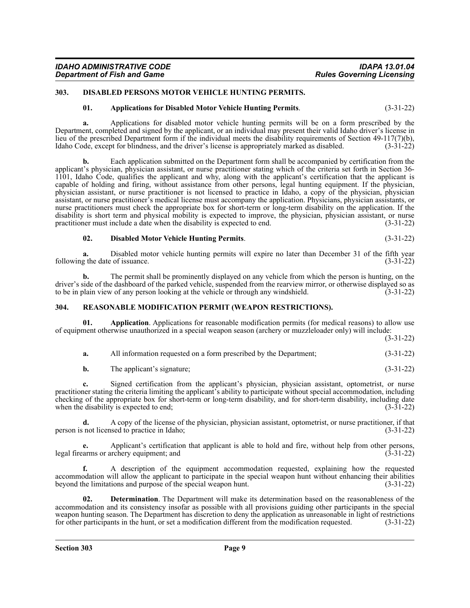# <span id="page-8-0"></span>**303. DISABLED PERSONS MOTOR VEHICLE HUNTING PERMITS.**

### **01. Applications for Disabled Motor Vehicle Hunting Permits**. (3-31-22)

**a.** Applications for disabled motor vehicle hunting permits will be on a form prescribed by the Department, completed and signed by the applicant, or an individual may present their valid Idaho driver's license in lieu of the prescribed Department form if the individual meets the disability requirements of Section 49-117(7)(b), Idaho Code, except for blindness, and the driver's license is appropriately marked as disabled. (3-31-22)

**b.** Each application submitted on the Department form shall be accompanied by certification from the applicant's physician, physician assistant, or nurse practitioner stating which of the criteria set forth in Section 36- 1101, Idaho Code, qualifies the applicant and why, along with the applicant's certification that the applicant is capable of holding and firing, without assistance from other persons, legal hunting equipment. If the physician, physician assistant, or nurse practitioner is not licensed to practice in Idaho, a copy of the physician, physician assistant, or nurse practitioner's medical license must accompany the application. Physicians, physician assistants, or nurse practitioners must check the appropriate box for short-term or long-term disability on the application. If the disability is short term and physical mobility is expected to improve, the physician, physician assistant, or nurse practitioner must include a date when the disability is expected to end. (3-31-22)

**02. Disabled Motor Vehicle Hunting Permits**. (3-31-22)

**a.** Disabled motor vehicle hunting permits will expire no later than December 31 of the fifth year g the date of issuance. (3-31-22) following the date of issuance.

**b.** The permit shall be prominently displayed on any vehicle from which the person is hunting, on the driver's side of the dashboard of the parked vehicle, suspended from the rearview mirror, or otherwise displayed so as to be in plain view of any person looking at the vehicle or through any windshield. (3-31-22)

#### <span id="page-8-1"></span>**304. REASONABLE MODIFICATION PERMIT (WEAPON RESTRICTIONS).**

**01. Application**. Applications for reasonable modification permits (for medical reasons) to allow use of equipment otherwise unauthorized in a special weapon season (archery or muzzleloader only) will include:

(3-31-22)

| a. | All information requested on a form prescribed by the Department; | $(3-31-22)$ |
|----|-------------------------------------------------------------------|-------------|
|----|-------------------------------------------------------------------|-------------|

| b. | The applicant's signature; | $(3-31-22)$ |  |
|----|----------------------------|-------------|--|
|----|----------------------------|-------------|--|

**c.** Signed certification from the applicant's physician, physician assistant, optometrist, or nurse practitioner stating the criteria limiting the applicant's ability to participate without special accommodation, including checking of the appropriate box for short-term or long-term disability, and for short-term disability, including date when the disability is expected to end;  $(3-31-22)$ 

**d.** A copy of the license of the physician, physician assistant, optometrist, or nurse practitioner, if that person is not licensed to practice in Idaho; (3-31-22)

**e.** Applicant's certification that applicant is able to hold and fire, without help from other persons, legal firearms or archery equipment; and (3-31-22)

**f.** A description of the equipment accommodation requested, explaining how the requested accommodation will allow the applicant to participate in the special weapon hunt without enhancing their abilities beyond the limitations and purpose of the special weapon hunt. (3-31-22)

**02. Determination**. The Department will make its determination based on the reasonableness of the accommodation and its consistency insofar as possible with all provisions guiding other participants in the special weapon hunting season. The Department has discretion to deny the application as unreasonable in light of restrictions for other participants in the hunt, or set a modification different from the modification requested. (3-31-22)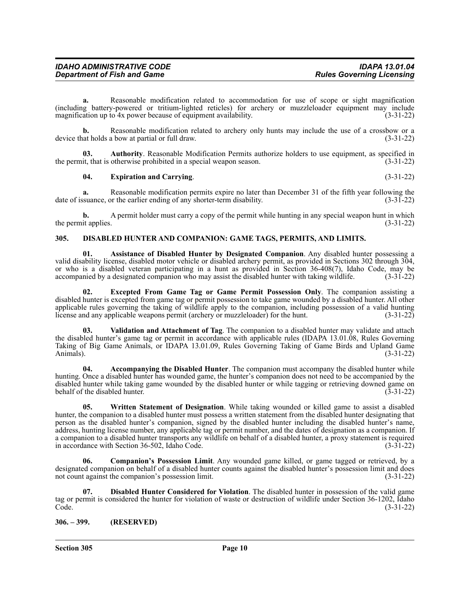| <b>IDAHO ADMINISTRATIVE CODE</b>   | <b>IDAPA 13.01.04</b>            |
|------------------------------------|----------------------------------|
| <b>Department of Fish and Game</b> | <b>Rules Governing Licensing</b> |

**a.** Reasonable modification related to accommodation for use of scope or sight magnification (including battery-powered or tritium-lighted reticles) for archery or muzzleloader equipment may include magnification up to 4x power because of equipment availability.

**b.** Reasonable modification related to archery only hunts may include the use of a crossbow or a at holds a bow at partial or full draw. (3-31-22) device that holds a bow at partial or full draw.

**03. Authority**. Reasonable Modification Permits authorize holders to use equipment, as specified in the permit, that is otherwise prohibited in a special weapon season. (3-31-22)

#### **04. Expiration and Carrying**. (3-31-22)

**a.** Reasonable modification permits expire no later than December 31 of the fifth year following the date of issuance, or the earlier ending of any shorter-term disability. (3-31-22)

**b.** A permit holder must carry a copy of the permit while hunting in any special weapon hunt in which the permit applies.  $(3-31-22)$ 

## <span id="page-9-0"></span>**305. DISABLED HUNTER AND COMPANION: GAME TAGS, PERMITS, AND LIMITS.**

**01. Assistance of Disabled Hunter by Designated Companion**. Any disabled hunter possessing a valid disability license, disabled motor vehicle or disabled archery permit, as provided in Sections 302 through 304, or who is a disabled veteran participating in a hunt as provided in Section 36-408(7), Idaho Code, may be accompanied by a designated companion who may assist the disabled hunter with taking wildlife. (3-31-22)

**02. Excepted From Game Tag or Game Permit Possession Only**. The companion assisting a disabled hunter is excepted from game tag or permit possession to take game wounded by a disabled hunter. All other applicable rules governing the taking of wildlife apply to the companion, including possession of a valid hunting license and any applicable weapons permit (archery or muzzleloader) for the hunt. (3-31-22)

**03. Validation and Attachment of Tag**. The companion to a disabled hunter may validate and attach the disabled hunter's game tag or permit in accordance with applicable rules (IDAPA 13.01.08, Rules Governing Taking of Big Game Animals, or IDAPA 13.01.09, Rules Governing Taking of Game Birds and Upland Game Animals). (3-31-22)

**04. Accompanying the Disabled Hunter**. The companion must accompany the disabled hunter while hunting. Once a disabled hunter has wounded game, the hunter's companion does not need to be accompanied by the disabled hunter while taking game wounded by the disabled hunter or while tagging or retrieving downed game on behalf of the disabled hunter.<br>(3-31-22) behalf of the disabled hunter.

**05. Written Statement of Designation**. While taking wounded or killed game to assist a disabled hunter, the companion to a disabled hunter must possess a written statement from the disabled hunter designating that person as the disabled hunter's companion, signed by the disabled hunter including the disabled hunter's name, address, hunting license number, any applicable tag or permit number, and the dates of designation as a companion. If a companion to a disabled hunter transports any wildlife on behalf of a disabled hunter, a proxy statement is required in accordance with Section 36-502, Idaho Code. (3-31-22)

**06. Companion's Possession Limit**. Any wounded game killed, or game tagged or retrieved, by a designated companion on behalf of a disabled hunter counts against the disabled hunter's possession limit and does not count against the companion's possession limit. (3-31-22)

**07. Disabled Hunter Considered for Violation**. The disabled hunter in possession of the valid game tag or permit is considered the hunter for violation of waste or destruction of wildlife under Section 36-1202, Idaho<br>(3-31-22) Code. (3-31-22)

<span id="page-9-1"></span>**306. – 399. (RESERVED)**

**Section 305 Page 10**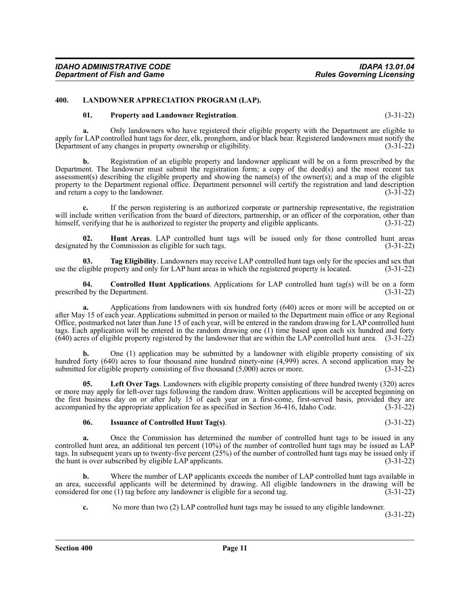#### <span id="page-10-0"></span>**400. LANDOWNER APPRECIATION PROGRAM (LAP).**

#### **01. Property and Landowner Registration**. (3-31-22)

**a.** Only landowners who have registered their eligible property with the Department are eligible to apply for LAP controlled hunt tags for deer, elk, pronghorn, and/or black bear. Registered landowners must notify the Department of any changes in property ownership or eligibility. (3-31-22)

**b.** Registration of an eligible property and landowner applicant will be on a form prescribed by the Department. The landowner must submit the registration form; a copy of the deed(s) and the most recent tax assessment(s) describing the eligible property and showing the name(s) of the owner(s); and a map of the eligible property to the Department regional office. Department personnel will certify the registration and land description and return a copy to the landowner. (3-31-22)

**c.** If the person registering is an authorized corporate or partnership representative, the registration will include written verification from the board of directors, partnership, or an officer of the corporation, other than himself, verifying that he is authorized to register the property and eligible applicants. (3-31-22)

**02. Hunt Areas**. LAP controlled hunt tags will be issued only for those controlled hunt areas designated by the Commission as eligible for such tags. (3-31-22)

**03. Tag Eligibility**. Landowners may receive LAP controlled hunt tags only for the species and sex that use the eligible property and only for LAP hunt areas in which the registered property is located. (3-31-22)

**04. Controlled Hunt Applications**. Applications for LAP controlled hunt tag(s) will be on a form prescribed by the Department. (3-31-22)

**a.** Applications from landowners with six hundred forty (640) acres or more will be accepted on or after May 15 of each year. Applications submitted in person or mailed to the Department main office or any Regional Office, postmarked not later than June 15 of each year, will be entered in the random drawing for LAP controlled hunt tags. Each application will be entered in the random drawing one (1) time based upon each six hundred and forty (640) acres of eligible property registered by the landowner that are within the LAP controlled hunt area. (3-31-22)

**b.** One (1) application may be submitted by a landowner with eligible property consisting of six hundred forty (640) acres to four thousand nine hundred ninety-nine (4,999) acres. A second application may be submitted for eligible property consisting of five thousand (5,000) acres or more. (3-31-22) submitted for eligible property consisting of five thousand  $(5,000)$  acres or more.

**05. Left Over Tags**. Landowners with eligible property consisting of three hundred twenty (320) acres or more may apply for left-over tags following the random draw. Written applications will be accepted beginning on the first business day on or after July 15 of each year on a first-come, first-served basis, provided they are<br>accompanied by the appropriate application fee as specified in Section 36-416, Idaho Code. (3-31-22) accompanied by the appropriate application fee as specified in Section 36-416, Idaho Code.

#### **06. Issuance of Controlled Hunt Tag(s)**. (3-31-22)

**a.** Once the Commission has determined the number of controlled hunt tags to be issued in any controlled hunt area, an additional ten percent (10%) of the number of controlled hunt tags may be issued as LAP tags. In subsequent years up to twenty-five percent (25%) of the number of controlled hunt tags may be issued only if the hunt is over subscribed by eligible LAP applicants. (3-31-22)

**b.** Where the number of LAP applicants exceeds the number of LAP controlled hunt tags available in an area, successful applicants will be determined by drawing. All eligible landowners in the drawing will be considered for one (1) tag before any landowner is eligible for a second tag.  $(3-31-22)$ 

**c.** No more than two (2) LAP controlled hunt tags may be issued to any eligible landowner.

(3-31-22)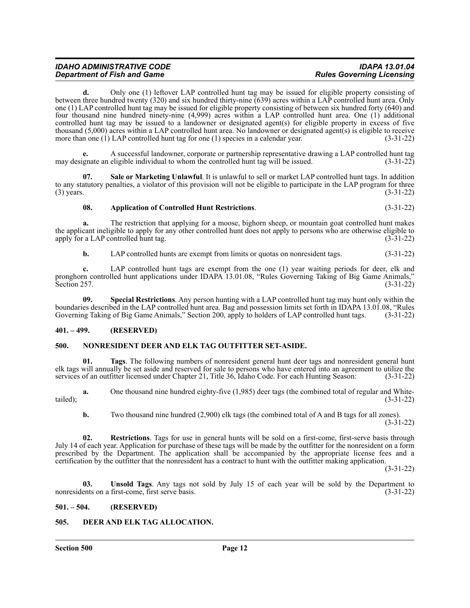**d.** Only one (1) leftover LAP controlled hunt tag may be issued for eligible property consisting of between three hundred twenty (320) and six hundred thirty-nine (639) acres within a LAP controlled hunt area. Only one (1) LAP controlled hunt tag may be issued for eligible property consisting of between six hundred forty (640) and four thousand nine hundred ninety-nine (4,999) acres within a LAP controlled hunt area. One (1) additional controlled hunt tag may be issued to a landowner or designated agent(s) for eligible property in excess of five thousand (5,000) acres within a LAP controlled hunt area. No landowner or designated agent(s) is eligible to receive more than one (1) LAP controlled hunt tag for one (1) species in a calendar year.  $(3-31-22)$ more than one  $(1)$  LAP controlled hunt tag for one  $(1)$  species in a calendar year.

**e.** A successful landowner, corporate or partnership representative drawing a LAP controlled hunt tag may designate an eligible individual to whom the controlled hunt tag will be issued. (3-31-22)

**07. Sale or Marketing Unlawful**. It is unlawful to sell or market LAP controlled hunt tags. In addition to any statutory penalties, a violator of this provision will not be eligible to participate in the LAP program for three (3) years. (3-31-22)

## **08. Application of Controlled Hunt Restrictions**. (3-31-22)

**a.** The restriction that applying for a moose, bighorn sheep, or mountain goat controlled hunt makes the applicant ineligible to apply for any other controlled hunt does not apply to persons who are otherwise eligible to apply for a LAP controlled hunt tag.  $(3-31-22)$ 

**b.** LAP controlled hunts are exempt from limits or quotas on nonresident tags.  $(3-31-22)$ 

**c.** LAP controlled hunt tags are exempt from the one (1) year waiting periods for deer, elk and pronghorn controlled hunt applications under IDAPA 13.01.08, "Rules Governing Taking of Big Game Animals,"<br>Section 257. (3-31-22) Section 257. (3-31-22)

**09. Special Restrictions**. Any person hunting with a LAP controlled hunt tag may hunt only within the boundaries described in the LAP controlled hunt area. Bag and possession limits set forth in IDAPA 13.01.08, "Rules Governing Taking of Big Game Animals," Section 200, apply to holders of LAP controlled hunt tags. (3-31-22)

#### <span id="page-11-0"></span>**401. – 499. (RESERVED)**

#### <span id="page-11-1"></span>**500. NONRESIDENT DEER AND ELK TAG OUTFITTER SET-ASIDE.**

**01. Tags**. The following numbers of nonresident general hunt deer tags and nonresident general hunt elk tags will annually be set aside and reserved for sale to persons who have entered into an agreement to utilize the services of an outfitter licensed under Chapter 21, Title 36, Idaho Code. For each Hunting Season: (3-31-22)

**a.** One thousand nine hundred eighty-five (1,985) deer tags (the combined total of regular and Whitetailed);  $(3-31-22)$ 

**b.** Two thousand nine hundred (2,900) elk tags (the combined total of A and B tags for all zones).

 $(3-31-22)$ 

**02. Restrictions**. Tags for use in general hunts will be sold on a first-come, first-serve basis through July 14 of each year. Application for purchase of these tags will be made by the outfitter for the nonresident on a form prescribed by the Department. The application shall be accompanied by the appropriate license fees and a certification by the outfitter that the nonresident has a contract to hunt with the outfitter making application.

(3-31-22)

**03. Unsold Tags**. Any tags not sold by July 15 of each year will be sold by the Department to nonresidents on a first-come, first serve basis. (3-31-22)

#### <span id="page-11-2"></span>**501. – 504. (RESERVED)**

#### <span id="page-11-3"></span>**505. DEER AND ELK TAG ALLOCATION.**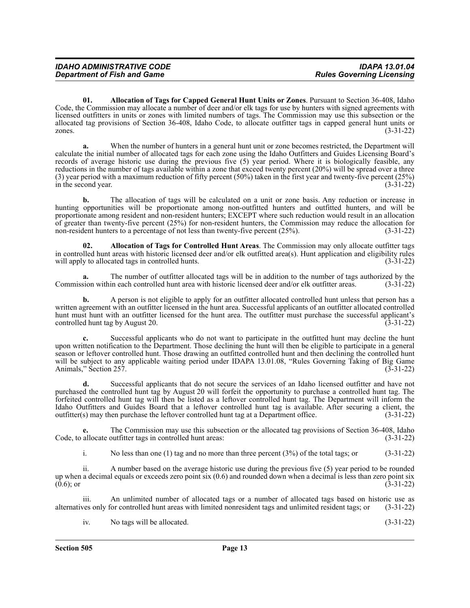**01. Allocation of Tags for Capped General Hunt Units or Zones**. Pursuant to Section 36-408, Idaho Code, the Commission may allocate a number of deer and/or elk tags for use by hunters with signed agreements with licensed outfitters in units or zones with limited numbers of tags. The Commission may use this subsection or the allocated tag provisions of Section 36-408, Idaho Code, to allocate outfitter tags in capped general hunt units or zones. (3-31-22)

**a.** When the number of hunters in a general hunt unit or zone becomes restricted, the Department will calculate the initial number of allocated tags for each zone using the Idaho Outfitters and Guides Licensing Board's records of average historic use during the previous five (5) year period. Where it is biologically feasible, any reductions in the number of tags available within a zone that exceed twenty percent (20%) will be spread over a three (3) year period with a maximum reduction of fifty percent (50%) taken in the first year and twenty-five percent (25%) in the second year. in the second year.

**b.** The allocation of tags will be calculated on a unit or zone basis. Any reduction or increase in hunting opportunities will be proportionate among non-outfitted hunters and outfitted hunters, and will be proportionate among resident and non-resident hunters; EXCEPT where such reduction would result in an allocation of greater than twenty-five percent (25%) for non-resident hunters, the Commission may reduce the allocation for non-resident hunters to a percentage of not less than twenty-five percent (25%). (3-31-22)

**02. Allocation of Tags for Controlled Hunt Areas**. The Commission may only allocate outfitter tags in controlled hunt areas with historic licensed deer and/or elk outfitted area(s). Hunt application and eligibility rules will apply to allocated tags in controlled hunts. (3-31-22) will apply to allocated tags in controlled hunts.

The number of outfitter allocated tags will be in addition to the number of tags authorized by the in each controlled hunt area with historic licensed deer and/or elk outfitter areas. (3-31-22) Commission within each controlled hunt area with historic licensed deer and/or elk outfitter areas.

**b.** A person is not eligible to apply for an outfitter allocated controlled hunt unless that person has a written agreement with an outfitter licensed in the hunt area. Successful applicants of an outfitter allocated controlled hunt must hunt with an outfitter licensed for the hunt area. The outfitter must purchase the successful applicant's controlled hunt tag by August 20. (3-31-22) controlled hunt tag by August 20.

**c.** Successful applicants who do not want to participate in the outfitted hunt may decline the hunt upon written notification to the Department. Those declining the hunt will then be eligible to participate in a general season or leftover controlled hunt. Those drawing an outfitted controlled hunt and then declining the controlled hunt will be subject to any applicable waiting period under IDAPA 13.01.08, "Rules Governing Taking of Big Game<br>Animals." Section 257. (3-31-22) Animals," Section 257.

**d.** Successful applicants that do not secure the services of an Idaho licensed outfitter and have not purchased the controlled hunt tag by August 20 will forfeit the opportunity to purchase a controlled hunt tag. The forfeited controlled hunt tag will then be listed as a leftover controlled hunt tag. The Department will inform the Idaho Outfitters and Guides Board that a leftover controlled hunt tag is available. After securing a client, the outfitter(s) may then purchase the leftover controlled hunt tag at a Department office. (3-31-22)

The Commission may use this subsection or the allocated tag provisions of Section 36-408, Idaho butfitter tags in controlled hunt areas: (3-31-22) Code, to allocate outfitter tags in controlled hunt areas:

i. No less than one (1) tag and no more than three percent (3%) of the total tags; or (3-31-22)

ii. A number based on the average historic use during the previous five (5) year period to be rounded up when a decimal equals or exceeds zero point six (0.6) and rounded down when a decimal is less than zero point six  $(0.6)$ ; or  $(3-31-22)$ 

iii. An unlimited number of allocated tags or a number of allocated tags based on historic use as ves only for controlled hunt areas with limited nonresident tags and unlimited resident tags; or (3-31-22) alternatives only for controlled hunt areas with limited nonresident tags and unlimited resident tags; or

iv. No tags will be allocated. (3-31-22)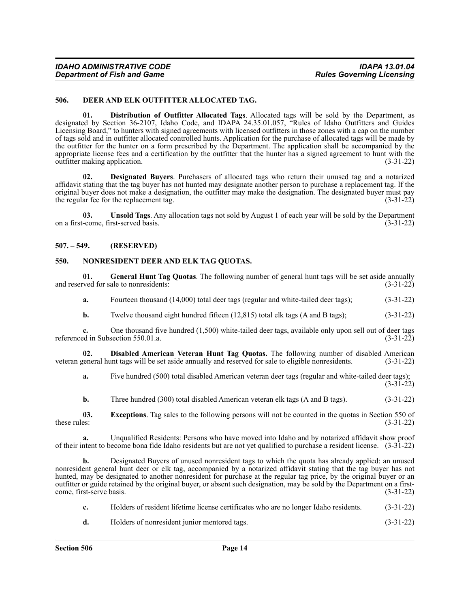#### <span id="page-13-0"></span>**506. DEER AND ELK OUTFITTER ALLOCATED TAG.**

**01. Distribution of Outfitter Allocated Tags**. Allocated tags will be sold by the Department, as designated by Section 36-2107, Idaho Code, and IDAPA 24.35.01.057, "Rules of Idaho Outfitters and Guides Licensing Board," to hunters with signed agreements with licensed outfitters in those zones with a cap on the number of tags sold and in outfitter allocated controlled hunts. Application for the purchase of allocated tags will be made by the outfitter for the hunter on a form prescribed by the Department. The application shall be accompanied by the appropriate license fees and a certification by the outfitter that the hunter has a signed agreement to hunt with the outfitter making application. (3-31-22)

**02. Designated Buyers**. Purchasers of allocated tags who return their unused tag and a notarized affidavit stating that the tag buyer has not hunted may designate another person to purchase a replacement tag. If the original buyer does not make a designation, the outfitter may make the designation. The designated buyer must pay the regular fee for the replacement tag. (3-31-22)

**03. Unsold Tags**. Any allocation tags not sold by August 1 of each year will be sold by the Department on a first-come, first-served basis. (3-31-22)

### <span id="page-13-1"></span>**507. – 549. (RESERVED)**

#### <span id="page-13-2"></span>**550. NONRESIDENT DEER AND ELK TAG QUOTAS.**

**01.** General Hunt Tag Quotas. The following number of general hunt tags will be set aside annually rved for sale to nonresidents: (3-31-22) and reserved for sale to nonresidents:

**a.** Fourteen thousand (14,000) total deer tags (regular and white-tailed deer tags); (3-31-22)

**b.** Twelve thousand eight hundred fifteen (12,815) total elk tags (A and B tags); (3-31-22)

**c.** One thousand five hundred (1,500) white-tailed deer tags, available only upon sell out of deer tags referenced in Subsection 550.01.a. (3-31-22)

**02. Disabled American Veteran Hunt Tag Quotas.** The following number of disabled American veteran general hunt tags will be set aside annually and reserved for sale to eligible nonresidents. (3-31-22)

**a.** Five hundred (500) total disabled American veteran deer tags (regular and white-tailed deer tags);

(3-31-22)

**b.** Three hundred (300) total disabled American veteran elk tags (A and B tags). (3-31-22)

**03.** Exceptions. Tag sales to the following persons will not be counted in the quotas in Section 550 of these rules: (3-31-22) these rules:  $(3-31-22)$ 

**a.** Unqualified Residents: Persons who have moved into Idaho and by notarized affidavit show proof of their intent to become bona fide Idaho residents but are not yet qualified to purchase a resident license. (3-31-22)

**b.** Designated Buyers of unused nonresident tags to which the quota has already applied: an unused nonresident general hunt deer or elk tag, accompanied by a notarized affidavit stating that the tag buyer has not hunted, may be designated to another nonresident for purchase at the regular tag price, by the original buyer or an outfitter or guide retained by the original buyer, or absent such designation, may be sold by the Department on a firstcome, first-serve basis. (3-31-22)

| Holders of resident lifetime license certificates who are no longer Idaho residents. (3-31-22) |                                    |
|------------------------------------------------------------------------------------------------|------------------------------------|
|                                                                                                | $\sim$ $\sim$ $\sim$ $\sim$ $\sim$ |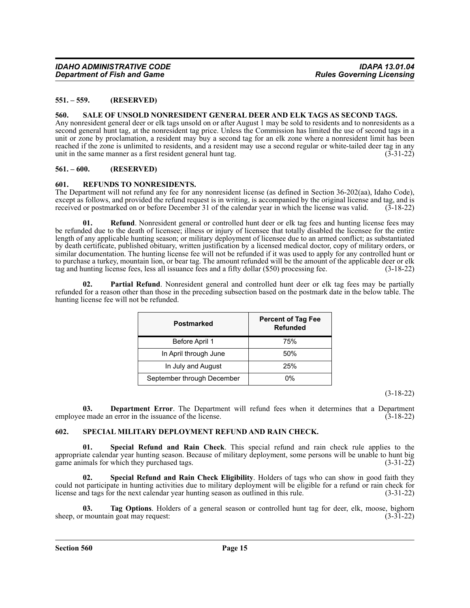#### <span id="page-14-0"></span>**551. – 559. (RESERVED)**

#### <span id="page-14-1"></span>**560. SALE OF UNSOLD NONRESIDENT GENERAL DEER AND ELK TAGS AS SECOND TAGS.**

Any nonresident general deer or elk tags unsold on or after August 1 may be sold to residents and to nonresidents as a second general hunt tag, at the nonresident tag price. Unless the Commission has limited the use of second tags in a unit or zone by proclamation, a resident may buy a second tag for an elk zone where a nonresident limit has been reached if the zone is unlimited to residents, and a resident may use a second regular or white-tailed deer tag in any unit in the same manner as a first resident general hunt tag. (3-31-22)

# <span id="page-14-2"></span>**561. – 600. (RESERVED)**

#### <span id="page-14-3"></span>**601. REFUNDS TO NONRESIDENTS.**

The Department will not refund any fee for any nonresident license (as defined in Section 36-202(aa), Idaho Code), except as follows, and provided the refund request is in writing, is accompanied by the original license and tag, and is received or postmarked on or before December 31 of the calendar year in which the license was valid. (3-18-22)

Refund. Nonresident general or controlled hunt deer or elk tag fees and hunting license fees may be refunded due to the death of licensee; illness or injury of licensee that totally disabled the licensee for the entire length of any applicable hunting season; or military deployment of licensee due to an armed conflict; as substantiated by death certificate, published obituary, written justification by a licensed medical doctor, copy of military orders, or similar documentation. The hunting license fee will not be refunded if it was used to apply for any controlled hunt or to purchase a turkey, mountain lion, or bear tag. The amount refunded will be the amount of the applicable deer or elk tag and hunting license fees, less all issuance fees and a fifty dollar (\$50) processing fee. (3-18-22)

**02. Partial Refund**. Nonresident general and controlled hunt deer or elk tag fees may be partially refunded for a reason other than those in the preceding subsection based on the postmark date in the below table. The hunting license fee will not be refunded.

| Postmarked                 | <b>Percent of Tag Fee</b><br><b>Refunded</b> |
|----------------------------|----------------------------------------------|
| Before April 1             | 75%                                          |
| In April through June      | 50%                                          |
| In July and August         | 25%                                          |
| September through December | 0%                                           |

(3-18-22)

**03. Department Error**. The Department will refund fees when it determines that a Department employee made an error in the issuance of the license. (3-18-22)

#### <span id="page-14-4"></span>**602. SPECIAL MILITARY DEPLOYMENT REFUND AND RAIN CHECK.**

**01. Special Refund and Rain Check**. This special refund and rain check rule applies to the appropriate calendar year hunting season. Because of military deployment, some persons will be unable to hunt big game animals for which they purchased tags. (3-31-22)

**02. Special Refund and Rain Check Eligibility**. Holders of tags who can show in good faith they could not participate in hunting activities due to military deployment will be eligible for a refund or rain check for license and tags for the next calendar year hunting season as outlined in this rule. (3-31-22)

**03. Tag Options**. Holders of a general season or controlled hunt tag for deer, elk, moose, bighorn sheep, or mountain goat may request: (3-31-22)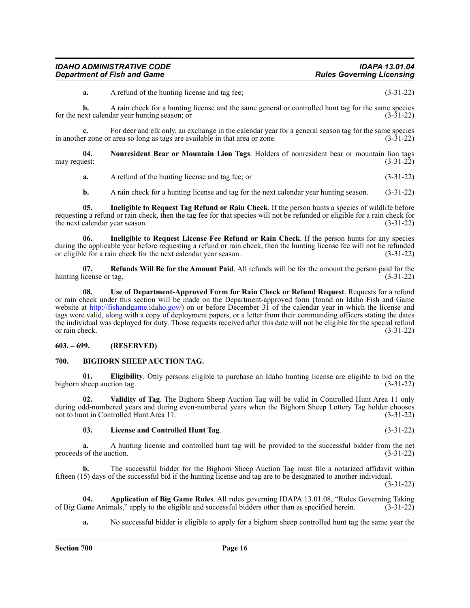**a.** A refund of the hunting license and tag fee; (3-31-22)

**b.** A rain check for a hunting license and the same general or controlled hunt tag for the same species ext calendar year hunting season; or for the next calendar year hunting season; or

**c.** For deer and elk only, an exchange in the calendar year for a general season tag for the same species r zone or area so long as tags are available in that area or zone. (3-31-22) in another zone or area so long as tags are available in that area or zone.

**04. Nonresident Bear or Mountain Lion Tags**. Holders of nonresident bear or mountain lion tags may request:  $(3-31-22)$ 

**a.** A refund of the hunting license and tag fee; or (3-31-22)

**b.** A rain check for a hunting license and tag for the next calendar year hunting season. (3-31-22)

**05. Ineligible to Request Tag Refund or Rain Check**. If the person hunts a species of wildlife before requesting a refund or rain check, then the tag fee for that species will not be refunded or eligible for a rain check for the next calendar year season. (3-31-22)

**06. Ineligible to Request License Fee Refund or Rain Check**. If the person hunts for any species during the applicable year before requesting a refund or rain check, then the hunting license fee will not be refunded or eligible for a rain check for the next calendar year season. (3-31-22) or eligible for a rain check for the next calendar year season.

**07. Refunds Will Be for the Amount Paid**. All refunds will be for the amount the person paid for the hunting license or tag. (3-31-22)

**08. Use of Department-Approved Form for Rain Check or Refund Request**. Requests for a refund or rain check under this section will be made on the Department-approved form (found on Idaho Fish and Game website at <http://fishandgame.idaho.gov/>) on or before December  $3\hat{1}$  of the calendar year in which the license and tags were valid, along with a copy of deployment papers, or a letter from their commanding officers stating the dates the individual was deployed for duty. Those requests received after this date will not be eligible for the special refund or rain check. (3-31-22)

# <span id="page-15-0"></span>**603. – 699. (RESERVED)**

#### <span id="page-15-1"></span>**700. BIGHORN SHEEP AUCTION TAG.**

**01. Eligibility**. Only persons eligible to purchase an Idaho hunting license are eligible to bid on the bighorn sheep auction tag. (3-31-22)

**02. Validity of Tag**. The Bighorn Sheep Auction Tag will be valid in Controlled Hunt Area 11 only during odd-numbered years and during even-numbered years when the Bighorn Sheep Lottery Tag holder chooses not to hunt in Controlled Hunt Area 11. (3-31-22)

#### **03. License and Controlled Hunt Tag**. (3-31-22)

**a.** A hunting license and controlled hunt tag will be provided to the successful bidder from the net proceeds of the auction. (3-31-22)

**b.** The successful bidder for the Bighorn Sheep Auction Tag must file a notarized affidavit within fifteen (15) days of the successful bid if the hunting license and tag are to be designated to another individual.

(3-31-22)

**04. Application of Big Game Rules**. All rules governing IDAPA 13.01.08, "Rules Governing Taking ame Animals," apply to the eligible and successful bidders other than as specified herein. (3-31-22) of Big Game Animals," apply to the eligible and successful bidders other than as specified herein.

**a.** No successful bidder is eligible to apply for a bighorn sheep controlled hunt tag the same year the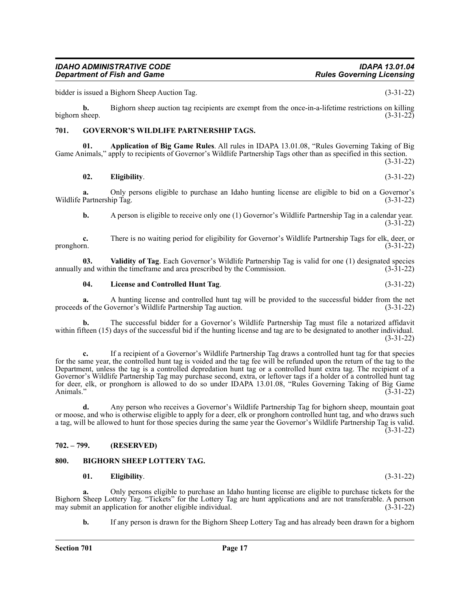bidder is issued a Bighorn Sheep Auction Tag. (3-31-22)

**b.** Bighorn sheep auction tag recipients are exempt from the once-in-a-lifetime restrictions on killing bighorn sheep.  $(3-31-22)$ 

# <span id="page-16-0"></span>**701. GOVERNOR'S WILDLIFE PARTNERSHIP TAGS.**

**01. Application of Big Game Rules**. All rules in IDAPA 13.01.08, "Rules Governing Taking of Big Game Animals," apply to recipients of Governor's Wildlife Partnership Tags other than as specified in this section.

(3-31-22)

# **02. Eligibility**. (3-31-22)

**a.** Only persons eligible to purchase an Idaho hunting license are eligible to bid on a Governor's Wildlife Partnership Tag. (3-31-22)

**b.** A person is eligible to receive only one (1) Governor's Wildlife Partnership Tag in a calendar year. (3-31-22)

**c.** There is no waiting period for eligibility for Governor's Wildlife Partnership Tags for elk, deer, or pronghorn. (3-31-22)

**03. Validity of Tag**. Each Governor's Wildlife Partnership Tag is valid for one (1) designated species annually and within the timeframe and area prescribed by the Commission. (3-31-22)

# **04. License and Controlled Hunt Tag**. (3-31-22)

**a.** A hunting license and controlled hunt tag will be provided to the successful bidder from the net of the Governor's Wildlife Partnership Tag auction. (3-31-22) proceeds of the Governor's Wildlife Partnership Tag auction.

**b.** The successful bidder for a Governor's Wildlife Partnership Tag must file a notarized affidavit within fifteen (15) days of the successful bid if the hunting license and tag are to be designated to another individual. (3-31-22)

**c.** If a recipient of a Governor's Wildlife Partnership Tag draws a controlled hunt tag for that species for the same year, the controlled hunt tag is voided and the tag fee will be refunded upon the return of the tag to the Department, unless the tag is a controlled depredation hunt tag or a controlled hunt extra tag. The recipient of a Governor's Wildlife Partnership Tag may purchase second, extra, or leftover tags if a holder of a controlled hunt tag for deer, elk, or pronghorn is allowed to do so under IDAPA 13.01.08, "Rules Governing Taking of Big Game Animals." (3-31-22)

**d.** Any person who receives a Governor's Wildlife Partnership Tag for bighorn sheep, mountain goat or moose, and who is otherwise eligible to apply for a deer, elk or pronghorn controlled hunt tag, and who draws such a tag, will be allowed to hunt for those species during the same year the Governor's Wildlife Partnership Tag is valid. (3-31-22)

# <span id="page-16-1"></span>**702. – 799. (RESERVED)**

# <span id="page-16-2"></span>**800. BIGHORN SHEEP LOTTERY TAG.**

# **01. Eligibility**. (3-31-22)

**a.** Only persons eligible to purchase an Idaho hunting license are eligible to purchase tickets for the Bighorn Sheep Lottery Tag. "Tickets" for the Lottery Tag are hunt applications and are not transferable. A person may submit an application for another eligible individual. (3-31-22) may submit an application for another eligible individual.

**b.** If any person is drawn for the Bighorn Sheep Lottery Tag and has already been drawn for a bighorn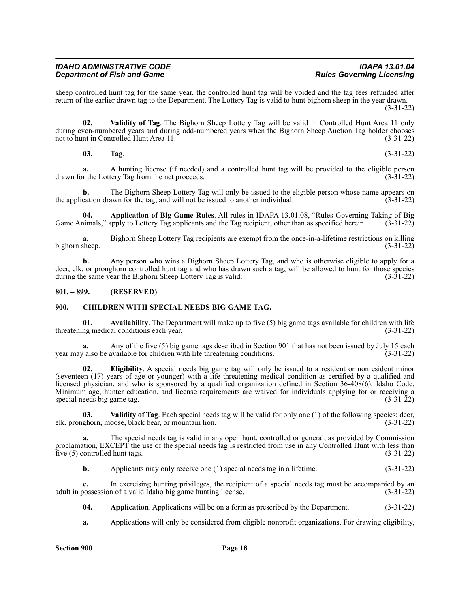sheep controlled hunt tag for the same year, the controlled hunt tag will be voided and the tag fees refunded after return of the earlier drawn tag to the Department. The Lottery Tag is valid to hunt bighorn sheep in the year drawn. (3-31-22)

**02. Validity of Tag**. The Bighorn Sheep Lottery Tag will be valid in Controlled Hunt Area 11 only during even-numbered years and during odd-numbered years when the Bighorn Sheep Auction Tag holder chooses not to hunt in Controlled Hunt Area 11. (3-31-22) not to hunt in Controlled Hunt Area 11.

**03. Tag**. (3-31-22)

**a.** A hunting license (if needed) and a controlled hunt tag will be provided to the eligible person drawn for the Lottery Tag from the net proceeds. (3-31-22)

**b.** The Bighorn Sheep Lottery Tag will only be issued to the eligible person whose name appears on the application drawn for the tag, and will not be issued to another individual. (3-31-22)

**04. Application of Big Game Rules**. All rules in IDAPA 13.01.08, "Rules Governing Taking of Big Game Animals," apply to Lottery Tag applicants and the Tag recipient, other than as specified herein. (3-31-22)

**a.** Bighorn Sheep Lottery Tag recipients are exempt from the once-in-a-lifetime restrictions on killing bighorn sheep. (3-31-22)

**b.** Any person who wins a Bighorn Sheep Lottery Tag, and who is otherwise eligible to apply for a deer, elk, or pronghorn controlled hunt tag and who has drawn such a tag, will be allowed to hunt for those species during the same year the Bighorn Sheep Lottery Tag is valid. (3-31-22)

### <span id="page-17-0"></span>**801. – 899. (RESERVED)**

#### <span id="page-17-1"></span>**900. CHILDREN WITH SPECIAL NEEDS BIG GAME TAG.**

**01.** Availability. The Department will make up to five (5) big game tags available for children with life ng medical conditions each year. threatening medical conditions each year.

Any of the five (5) big game tags described in Section 901 that has not been issued by July 15 each available for children with life threatening conditions. (3-31-22) year may also be available for children with life threatening conditions.

**02. Eligibility**. A special needs big game tag will only be issued to a resident or nonresident minor (seventeen (17) years of age or younger) with a life threatening medical condition as certified by a qualified and licensed physician, and who is sponsored by a qualified organization defined in Section 36-408(6), Idaho Code. Minimum age, hunter education, and license requirements are waived for individuals applying for or receiving a special needs big game tag. (3-31-22)

**03.** Validity of Tag. Each special needs tag will be valid for only one (1) of the following species: deer, ghorn, moose, black bear, or mountain lion. (3-31-22) elk, pronghorn, moose, black bear, or mountain lion.

**a.** The special needs tag is valid in any open hunt, controlled or general, as provided by Commission proclamation, EXCEPT the use of the special needs tag is restricted from use in any Controlled Hunt with less than five  $(5)$  controlled hunt tags.  $(3-31-22)$ 

**b.** Applicants may only receive one (1) special needs tag in a lifetime.  $(3-31-22)$ 

**c.** In exercising hunting privileges, the recipient of a special needs tag must be accompanied by an adult in possession of a valid Idaho big game hunting license. (3-31-22)

**04. Application**. Applications will be on a form as prescribed by the Department. (3-31-22)

**a.** Applications will only be considered from eligible nonprofit organizations. For drawing eligibility,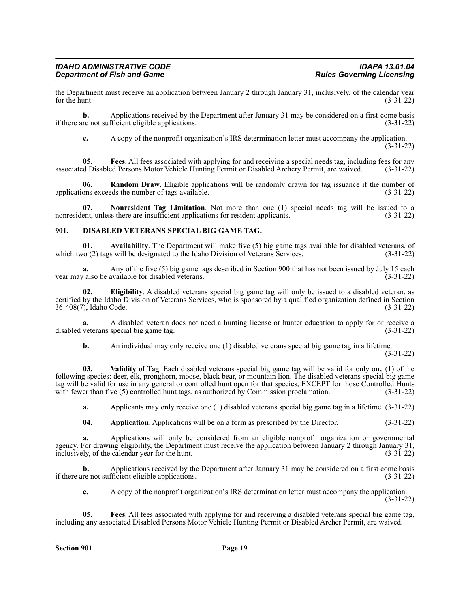the Department must receive an application between January 2 through January 31, inclusively, of the calendar year<br>(3-31-22) for the hunt.  $(3-31-22)$ 

**b.** Applications received by the Department after January 31 may be considered on a first-come basis if there are not sufficient eligible applications. (3-31-22)

**c.** A copy of the nonprofit organization's IRS determination letter must accompany the application. (3-31-22)

**05. Fees**. All fees associated with applying for and receiving a special needs tag, including fees for any associated Disabled Persons Motor Vehicle Hunting Permit or Disabled Archery Permit, are waived. (3-31-22)

**06. Random Draw**. Eligible applications will be randomly drawn for tag issuance if the number of applications exceeds the number of tags available. (3-31-22)

**07.** Nonresident Tag Limitation. Not more than one (1) special needs tag will be issued to a ent, unless there are insufficient applications for resident applicants. (3-31-22) nonresident, unless there are insufficient applications for resident applicants.

### <span id="page-18-0"></span>**901. DISABLED VETERANS SPECIAL BIG GAME TAG.**

**01.** Availability. The Department will make five (5) big game tags available for disabled veterans, of  $(2)$  tags will be designated to the Idaho Division of Veterans Services.  $(3-31-22)$ which two (2) tags will be designated to the Idaho Division of Veterans Services.

**a.** Any of the five (5) big game tags described in Section 900 that has not been issued by July 15 each year may also be available for disabled veterans. (3-31-22)

**02. Eligibility**. A disabled veterans special big game tag will only be issued to a disabled veteran, as certified by the Idaho Division of Veterans Services, who is sponsored by a qualified organization defined in Section 36-408(7), Idaho Code. (3-31-22)

**a.** A disabled veteran does not need a hunting license or hunter education to apply for or receive a veterans special big game tag. (3-31-22) disabled veterans special big game tag.

**b.** An individual may only receive one (1) disabled veterans special big game tag in a lifetime.

(3-31-22)

**03. Validity of Tag**. Each disabled veterans special big game tag will be valid for only one (1) of the following species: deer, elk, pronghorn, moose, black bear, or mountain lion. The disabled veterans special big game tag will be valid for use in any general or controlled hunt open for that species, EXCEPT for those Controlled Hunts with fewer than five (5) controlled hunt tags, as authorized by Commission proclamation. (3-31-22)

**a.** Applicants may only receive one (1) disabled veterans special big game tag in a lifetime. (3-31-22)

**04. Application**. Applications will be on a form as prescribed by the Director. (3-31-22)

**a.** Applications will only be considered from an eligible nonprofit organization or governmental agency. For drawing eligibility, the Department must receive the application between January 2 through January 31, inclusively, of the calendar year for the hunt. (3-31-22)

**b.** Applications received by the Department after January 31 may be considered on a first come basis if there are not sufficient eligible applications. (3-31-22)

**c.** A copy of the nonprofit organization's IRS determination letter must accompany the application. (3-31-22)

**05. Fees**. All fees associated with applying for and receiving a disabled veterans special big game tag, including any associated Disabled Persons Motor Vehicle Hunting Permit or Disabled Archer Permit, are waived.